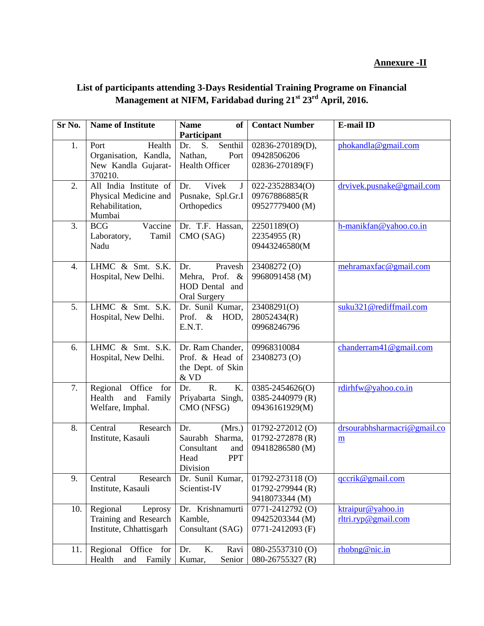## **Annexure -II**

## **List of participants attending 3-Days Residential Training Programe on Financial Management at NIFM, Faridabad during 21st 23rd April, 2016.**

| Sr No. | <b>Name of Institute</b>                                                     | <b>Name</b><br>of<br>Participant                                                        | <b>Contact Number</b>                                      | <b>E-mail ID</b>                         |
|--------|------------------------------------------------------------------------------|-----------------------------------------------------------------------------------------|------------------------------------------------------------|------------------------------------------|
| 1.     | Health<br>Port<br>Organisation, Kandla,<br>New Kandla Gujarat-<br>370210.    | Senthil<br>S.<br>Dr.<br>Nathan,<br>Port<br>Health Officer                               | 02836-270189(D),<br>09428506206<br>02836-270189(F)         | phokandla@gmail.com                      |
| 2.     | All India Institute of<br>Physical Medicine and<br>Rehabilitation,<br>Mumbai | Vivek<br>Dr.<br>$\mathbf J$<br>Pusnake, Spl.Gr.I<br>Orthopedics                         | 022-23528834(O)<br>09767886885(R<br>09527779400 (M)        | drvivek.pusnake@gmail.com                |
| 3.     | <b>BCG</b><br>Vaccine<br>Laboratory,<br>Tamil<br>Nadu                        | Dr. T.F. Hassan,<br>CMO (SAG)                                                           | 22501189(O)<br>22354955 (R)<br>09443246580(M               | h-manikfan@yahoo.co.in                   |
| 4.     | LHMC & Smt. S.K.<br>Hospital, New Delhi.                                     | Pravesh<br>Dr.<br>Mehra, Prof. &<br>HOD Dental and<br>Oral Surgery                      | 23408272 <sub>(O)</sub><br>9968091458 (M)                  | mehramaxfac@gmail.com                    |
| 5.     | LHMC & Smt. S.K.<br>Hospital, New Delhi.                                     | Dr. Sunil Kumar,<br>Prof. & HOD,<br>E.N.T.                                              | 23408291(O)<br>28052434(R)<br>09968246796                  | suku321@rediffmail.com                   |
| 6.     | LHMC & Smt. S.K.<br>Hospital, New Delhi.                                     | Dr. Ram Chander,<br>Prof. & Head of<br>the Dept. of Skin<br>$\&$ VD                     | 09968310084<br>23408273 (O)                                | chanderram41@gmail.com                   |
| 7.     | Regional<br>Office<br>for<br>and<br>Health<br>Family<br>Welfare, Imphal.     | R.<br>K.<br>Dr.<br>Priyabarta Singh,<br>CMO (NFSG)                                      | 0385-2454626(O)<br>0385-2440979 (R)<br>09436161929(M)      | rdirhfw@yahoo.co.in                      |
| 8.     | Central<br>Research<br>Institute, Kasauli                                    | (Mrs.)<br>Dr.<br>Saurabh Sharma,<br>Consultant<br>and<br><b>PPT</b><br>Head<br>Division | 01792-272012(O)<br>01792-272878 (R)<br>09418286580 (M)     | drsourabhsharmacri@gmail.co<br>m         |
| 9.     | Central<br>Research<br>Institute, Kasauli                                    | Dr. Sunil Kumar,<br>Scientist-IV                                                        | $01792 - 273118$ (O)<br>01792-279944 (R)<br>9418073344 (M) | qccrik@gmail.com                         |
| 10.    | Regional<br>Leprosy<br>Training and Research<br>Institute, Chhattisgarh      | Dr. Krishnamurti<br>Kamble,<br>Consultant (SAG)                                         | 0771-2412792 (O)<br>09425203344 (M)<br>0771-2412093 (F)    | ktraipur@yahoo.in<br>rltri.ryp@gmail.com |
| 11.    | Regional<br>Office for<br>Health<br>and<br>Family                            | K.<br>Dr.<br>Ravi<br>Senior<br>Kumar,                                                   | 080-25537310 (O)<br>080-26755327 (R)                       | rhobng@nic.in                            |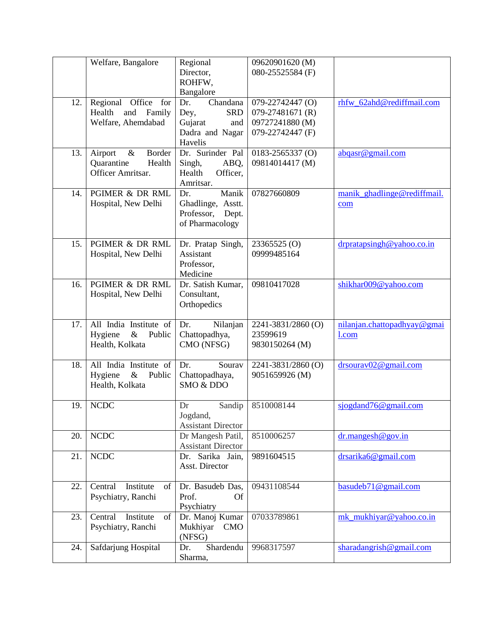|     | Welfare, Bangalore         | Regional                        | 09620901620 (M)         |                             |
|-----|----------------------------|---------------------------------|-------------------------|-----------------------------|
|     |                            | Director,                       | 080-25525584 (F)        |                             |
|     |                            | ROHFW,<br>Bangalore             |                         |                             |
| 12. | Regional Office for        | Dr.<br>Chandana                 | 079-22742447 (O)        | rhfw_62ahd@rediffmail.com   |
|     | and<br>Health<br>Family    | <b>SRD</b><br>Dey,              | 079-27481671 (R)        |                             |
|     | Welfare, Ahemdabad         | Gujarat<br>and                  | 09727241880 (M)         |                             |
|     |                            | Dadra and Nagar                 | 079-22742447 (F)        |                             |
|     |                            | Havelis                         |                         |                             |
| 13. | $\&$<br>Border<br>Airport  | Dr. Surinder Pal                | $0183 - 2565337$ (O)    | abqasr@gmail.com            |
|     | Quarantine<br>Health       | ABQ,<br>Singh,                  | 09814014417 (M)         |                             |
|     | Officer Amritsar.          | Officer,<br>Health<br>Amritsar. |                         |                             |
| 14. | PGIMER & DR RML            | Manik<br>Dr.                    | 07827660809             | manik ghadlinge@rediffmail. |
|     | Hospital, New Delhi        | Ghadlinge, Asstt.               |                         | com                         |
|     |                            | Professor,<br>Dept.             |                         |                             |
|     |                            | of Pharmacology                 |                         |                             |
|     |                            |                                 |                         |                             |
| 15. | PGIMER & DR RML            | Dr. Pratap Singh,               | 23365525 <sub>(O)</sub> | drpratapsingh@yahoo.co.in   |
|     | Hospital, New Delhi        | Assistant                       | 09999485164             |                             |
|     |                            | Professor,<br>Medicine          |                         |                             |
| 16. | PGIMER & DR RML            | Dr. Satish Kumar,               | 09810417028             | shikhar009@yahoo.com        |
|     | Hospital, New Delhi        | Consultant,                     |                         |                             |
|     |                            | Orthopedics                     |                         |                             |
|     |                            |                                 |                         |                             |
| 17. | All India Institute of     | Dr.<br>Nilanjan                 | 2241-3831/2860 (O)      | nilanjan.chattopadhyay@gmai |
|     | Public<br>Hygiene<br>$\&$  | Chattopadhya,                   | 23599619                | $1$ .com                    |
|     | Health, Kolkata            | CMO (NFSG)                      | 9830150264 (M)          |                             |
| 18. | All India Institute of     | Sourav<br>Dr.                   | 2241-3831/2860 (O)      | drsourav02@gmail.com        |
|     | Hygiene<br>$\&$<br>Public  | Chattopadhaya,                  | 9051659926 (M)          |                             |
|     | Health, Kolkata            | SMO & DDO                       |                         |                             |
|     |                            |                                 |                         |                             |
| 19. | <b>NCDC</b>                | Sandip<br>Dr<br>Jogdand,        | 8510008144              | sjogdand76@gmail.com        |
|     |                            | <b>Assistant Director</b>       |                         |                             |
| 20. | <b>NCDC</b>                | Dr Mangesh Patil,               | 8510006257              | dr.mangesh@gov.in           |
|     |                            | <b>Assistant Director</b>       |                         |                             |
| 21. | <b>NCDC</b>                | Dr. Sarika Jain,                | 9891604515              | drsarika6@gmail.com         |
|     |                            | Asst. Director                  |                         |                             |
| 22. | Central<br>Institute<br>of | Dr. Basudeb Das,                | 09431108544             | basudeb71@gmail.com         |
|     | Psychiatry, Ranchi         | Prof.<br><b>Of</b>              |                         |                             |
|     |                            | Psychiatry                      |                         |                             |
| 23. | Central<br>Institute<br>of | Dr. Manoj Kumar                 | 07033789861             | mk_mukhiyar@yahoo.co.in     |
|     | Psychiatry, Ranchi         | Mukhiyar<br><b>CMO</b>          |                         |                             |
|     |                            | (NFSG)                          |                         |                             |
| 24. | Safdarjung Hospital        | Shardendu<br>Dr.                | 9968317597              | sharadangrish@gmail.com     |
|     |                            | Sharma,                         |                         |                             |